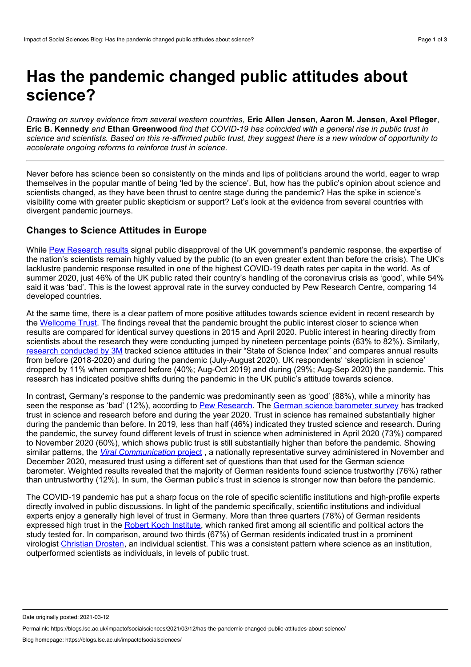## **Has the pandemic changed public attitudes about science?**

*Drawing on survey evidence from several western countries,* **Eric Allen Jensen**, **Aaron M. Jensen**, **Axel Pfleger**, Eric B. Kennedy and Ethan Greenwood find that COVID-19 has coincided with a general rise in public trust in science and scientists. Based on this re-affirmed public trust, they suggest there is a new window of opportunity to *accelerate ongoing reforms to reinforce trust in science.*

Never before has science been so consistently on the minds and lips of politicians around the world, eager to wrap themselves in the popular mantle of being 'led by the science'. But, how has the public's opinion about science and scientists changed, as they have been thrust to centre stage during the pandemic? Has the spike in science's visibility come with greater public skepticism or support? Let's look at the evidence from several countries with divergent pandemic journeys.

## **Changes to Science Attitudes in Europe**

While Pew [Research](https://www.pewresearch.org/global/wp-content/uploads/sites/2/2020/08/PG_2020.08.27_Global-Coronavirus_FINAL.pdf) results signal public disapproval of the UK government's pandemic response, the expertise of the nation's scientists remain highly valued by the public (to an even greater extent than before the crisis). The UK's lacklustre pandemic response resulted in one of the highest COVID-19 death rates per capita in the world. As of summer 2020, just 46% of the UK public rated their country's handling of the coronavirus crisis as 'good', while 54% said it was 'bad'. This is the lowest approval rate in the survey conducted by Pew Research Centre, comparing 14 developed countries.

At the same time, there is a clear pattern of more positive attitudes towards science evident in recent research by the [Wellcome](https://wellcome.org/what-we-do/our-work/wellcome-monitor) Trust. The findings reveal that the pandemic brought the public interest closer to science when results are compared for identical survey questions in 2015 and April 2020. Public interest in hearing directly from scientists about the research they were conducting jumped by nineteen percentage points (63% to 82%). Similarly, research [conducted](https://multimedia.3m.com/mws/media/1898512O/3m-sosi-2020-pandemic-pulse-global-report-pdf.pdf) by 3M tracked science attitudes in their "State of Science Index" and compares annual results from before (2018-2020) and during the pandemic (July-August 2020). UK respondents' 'skepticism in science' dropped by 11% when compared before (40%; Aug-Oct 2019) and during (29%; Aug-Sep 2020) the pandemic. This research has indicated positive shifts during the pandemic in the UK public's attitude towards science.

In contrast, Germany's response to the pandemic was predominantly seen as 'good' (88%), while a minority has seen the response as 'bad' (12%), according to Pew [Research.](https://www.pewresearch.org/global/wp-content/uploads/sites/2/2020/08/PG_2020.08.27_Global-Coronavirus_FINAL.pdf) The German science [barometer](https://www.wissenschaft-im-dialog.de/en/our-projects/science-barometer/science-barometer-2020) survey has tracked trust in science and research before and during the year 2020. Trust in science has remained substantially higher during the pandemic than before. In 2019, less than half (46%) indicated they trusted science and research. During the pandemic, the survey found different levels of trust in science when administered in April 2020 (73%) compared to November 2020 (60%), which shows public trust is still substantially higher than before the pandemic. Showing similar patterns, the *Viral [Communication](https://www.viralcomm.info)* project , a nationally representative survey administered in November and December 2020, measured trust using a different set of questions than that used for the German science barometer. Weighted results revealed that the majority of German residents found science trustworthy (76%) rather than untrustworthy (12%). In sum, the German public's trust in science is stronger now than before the pandemic.

The COVID-19 pandemic has put a sharp focus on the role of specific scientific institutions and high-profile experts directly involved in public discussions. In light of the pandemic specifically, scientific institutions and individual experts enjoy a generally high level of trust in Germany. More than three quarters (78%) of German residents expressed high trust in the Robert Koch [Institute,](https://www.rki.de/) which ranked first among all scientific and political actors the study tested for. In comparison, around two thirds (67%) of German residents indicated trust in a prominent virologist [Christian](https://blogs.lse.ac.uk/impactofsocialsciences/2020/04/03/between-fast-science-and-fake-news-preprint-servers-are-political/) Drosten, an individual scientist. This was a consistent pattern where science as an institution, outperformed scientists as individuals, in levels of public trust.

Date originally posted: 2021-03-12

Permalink: https://blogs.lse.ac.uk/impactofsocialsciences/2021/03/12/has-the-pandemic-changed-public-attitudes-about-science/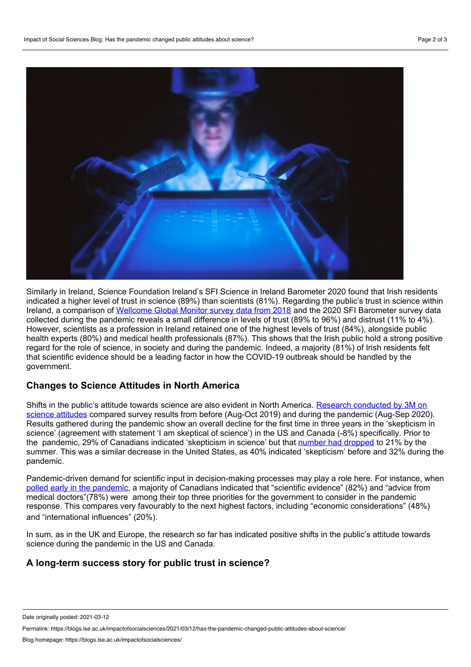

Similarly in Ireland, Science Foundation Ireland's SFI Science in Ireland Barometer 2020 found that Irish residents indicated a higher level of trust in science (89%) than scientists (81%). Regarding the public's trust in science within Ireland, a comparison of [Wellcome](https://wellcome.org/reports/wellcome-global-monitor/2018) Global Monitor survey data from 2018 and the 2020 SFI Barometer survey data collected during the pandemic reveals a small difference in levels of trust (89% to 96%) and distrust (11% to 4%). However, scientists as a profession in Ireland retained one of the highest levels of trust (84%), alongside public health experts (80%) and medical health professionals (87%). This shows that the Irish public hold a strong positive regard for the role of science, in society and during the pandemic. Indeed, a majority (81%) of Irish residents felt that scientific evidence should be a leading factor in how the COVID-19 outbreak should be handled by the government.

## **Changes to Science Attitudes in North America**

Shifts in the public's attitude towards science are also evident in North America. Research [conducted](https://multimedia.3m.com/mws/media/1898512O/3m-sosi-2020-pandemic-pulse-global-report-pdf.pdf) by 3M on science attitudes compared survey results from before (Aug-Oct 2019) and during the pandemic (Aug-Sep 2020). Results gathered during the pandemic show an overall decline for the first time in three years in the 'skepticism in science' (agreement with statement 'I am skeptical of science') in the US and Canada (-8%) specifically. Prior to the pandemic, 29% of Canadians indicated 'skepticism in science' but that number had [dropped](https://sciencecentre.3mcanada.ca/articles/state-of-science-index-reveals-covid-19-has-rebuilt-canadians-confidence-in-science) to 21% by the summer. This was a similar decrease in the United States, as 40% indicated 'skepticism' before and 32% during the pandemic.

Pandemic-driven demand for scientific input in decision-making processes may play a role here. For instance, when polled early in the [pandemic,](https://figshare.com/articles/preprint/Canadian_COVID-19_Social_Impacts_Survey_-_Summary_of_Results_1_Risk_Perceptions_Trust_Impacts_and_Responses/12121905) a majority of Canadians indicated that "scientific evidence" (82%) and "advice from medical doctors"(78%) were among their top three priorities for the government to consider in the pandemic response. This compares very favourably to the next highest factors, including "economic considerations" (48%) and "international influences" (20%).

In sum, as in the UK and Europe, the research so far has indicated positive shifts in the public's attitude towards science during the pandemic in the US and Canada.

## **A long-term success story for public trust in science?**

Permalink: https://blogs.lse.ac.uk/impactofsocialsciences/2021/03/12/has-the-pandemic-changed-public-attitudes-about-science/

Date originally posted: 2021-03-12